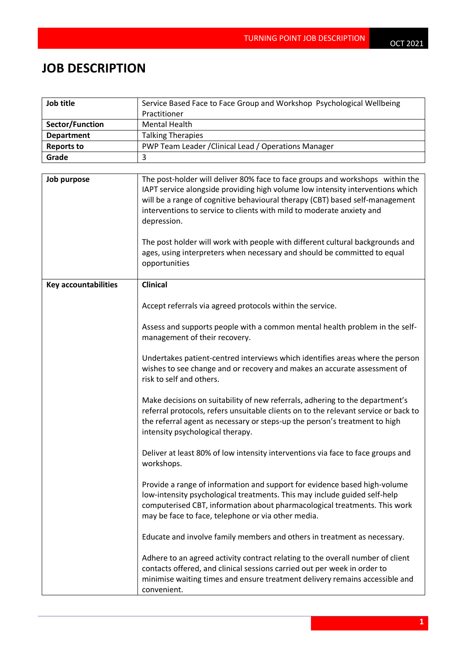## **JOB DESCRIPTION**

| Job title                   | Service Based Face to Face Group and Workshop Psychological Wellbeing                                                                                                                                                                                                                                                                   |  |
|-----------------------------|-----------------------------------------------------------------------------------------------------------------------------------------------------------------------------------------------------------------------------------------------------------------------------------------------------------------------------------------|--|
|                             | Practitioner                                                                                                                                                                                                                                                                                                                            |  |
| Sector/Function             | <b>Mental Health</b>                                                                                                                                                                                                                                                                                                                    |  |
| <b>Department</b>           | <b>Talking Therapies</b>                                                                                                                                                                                                                                                                                                                |  |
| <b>Reports to</b>           | PWP Team Leader / Clinical Lead / Operations Manager                                                                                                                                                                                                                                                                                    |  |
| Grade                       | 3                                                                                                                                                                                                                                                                                                                                       |  |
|                             |                                                                                                                                                                                                                                                                                                                                         |  |
| Job purpose                 | The post-holder will deliver 80% face to face groups and workshops within the<br>IAPT service alongside providing high volume low intensity interventions which<br>will be a range of cognitive behavioural therapy (CBT) based self-management<br>interventions to service to clients with mild to moderate anxiety and<br>depression. |  |
|                             | The post holder will work with people with different cultural backgrounds and<br>ages, using interpreters when necessary and should be committed to equal<br>opportunities                                                                                                                                                              |  |
| <b>Key accountabilities</b> | <b>Clinical</b>                                                                                                                                                                                                                                                                                                                         |  |
|                             | Accept referrals via agreed protocols within the service.                                                                                                                                                                                                                                                                               |  |
|                             | Assess and supports people with a common mental health problem in the self-<br>management of their recovery.                                                                                                                                                                                                                            |  |
|                             | Undertakes patient-centred interviews which identifies areas where the person<br>wishes to see change and or recovery and makes an accurate assessment of<br>risk to self and others.                                                                                                                                                   |  |
|                             | Make decisions on suitability of new referrals, adhering to the department's<br>referral protocols, refers unsuitable clients on to the relevant service or back to<br>the referral agent as necessary or steps-up the person's treatment to high<br>intensity psychological therapy.                                                   |  |
|                             | Deliver at least 80% of low intensity interventions via face to face groups and<br>workshops.                                                                                                                                                                                                                                           |  |
|                             | Provide a range of information and support for evidence based high-volume<br>low-intensity psychological treatments. This may include guided self-help<br>computerised CBT, information about pharmacological treatments. This work<br>may be face to face, telephone or via other media.                                               |  |
|                             | Educate and involve family members and others in treatment as necessary.                                                                                                                                                                                                                                                                |  |
|                             | Adhere to an agreed activity contract relating to the overall number of client<br>contacts offered, and clinical sessions carried out per week in order to<br>minimise waiting times and ensure treatment delivery remains accessible and<br>convenient.                                                                                |  |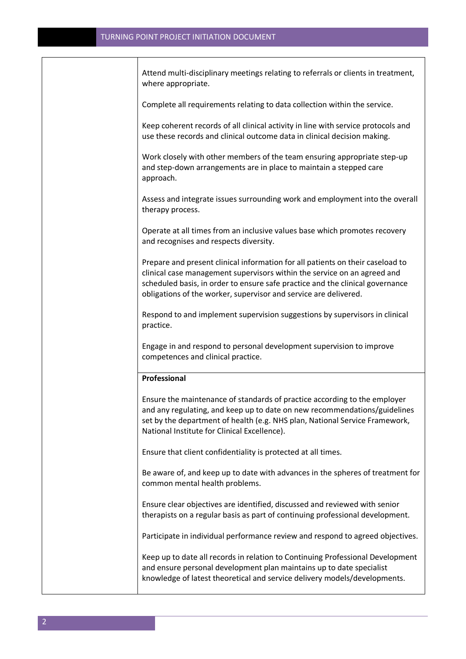| Attend multi-disciplinary meetings relating to referrals or clients in treatment,<br>where appropriate.                                                                                                                                                                                                         |
|-----------------------------------------------------------------------------------------------------------------------------------------------------------------------------------------------------------------------------------------------------------------------------------------------------------------|
| Complete all requirements relating to data collection within the service.                                                                                                                                                                                                                                       |
| Keep coherent records of all clinical activity in line with service protocols and<br>use these records and clinical outcome data in clinical decision making.                                                                                                                                                   |
| Work closely with other members of the team ensuring appropriate step-up<br>and step-down arrangements are in place to maintain a stepped care<br>approach.                                                                                                                                                     |
| Assess and integrate issues surrounding work and employment into the overall<br>therapy process.                                                                                                                                                                                                                |
| Operate at all times from an inclusive values base which promotes recovery<br>and recognises and respects diversity.                                                                                                                                                                                            |
| Prepare and present clinical information for all patients on their caseload to<br>clinical case management supervisors within the service on an agreed and<br>scheduled basis, in order to ensure safe practice and the clinical governance<br>obligations of the worker, supervisor and service are delivered. |
| Respond to and implement supervision suggestions by supervisors in clinical<br>practice.                                                                                                                                                                                                                        |
| Engage in and respond to personal development supervision to improve<br>competences and clinical practice.                                                                                                                                                                                                      |
| Professional                                                                                                                                                                                                                                                                                                    |
| Ensure the maintenance of standards of practice according to the employer<br>and any regulating, and keep up to date on new recommendations/guidelines<br>set by the department of health (e.g. NHS plan, National Service Framework,<br>National Institute for Clinical Excellence).                           |
| Ensure that client confidentiality is protected at all times.                                                                                                                                                                                                                                                   |
| Be aware of, and keep up to date with advances in the spheres of treatment for<br>common mental health problems.                                                                                                                                                                                                |
| Ensure clear objectives are identified, discussed and reviewed with senior<br>therapists on a regular basis as part of continuing professional development.                                                                                                                                                     |
| Participate in individual performance review and respond to agreed objectives.                                                                                                                                                                                                                                  |
| Keep up to date all records in relation to Continuing Professional Development<br>and ensure personal development plan maintains up to date specialist<br>knowledge of latest theoretical and service delivery models/developments.                                                                             |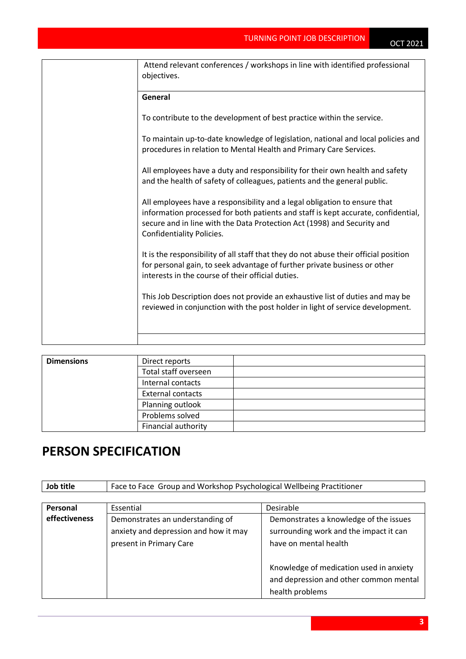| Attend relevant conferences / workshops in line with identified professional<br>objectives.                                                                                                                                                                                   |
|-------------------------------------------------------------------------------------------------------------------------------------------------------------------------------------------------------------------------------------------------------------------------------|
| General                                                                                                                                                                                                                                                                       |
| To contribute to the development of best practice within the service.                                                                                                                                                                                                         |
| To maintain up-to-date knowledge of legislation, national and local policies and<br>procedures in relation to Mental Health and Primary Care Services.                                                                                                                        |
| All employees have a duty and responsibility for their own health and safety<br>and the health of safety of colleagues, patients and the general public.                                                                                                                      |
| All employees have a responsibility and a legal obligation to ensure that<br>information processed for both patients and staff is kept accurate, confidential,<br>secure and in line with the Data Protection Act (1998) and Security and<br><b>Confidentiality Policies.</b> |
| It is the responsibility of all staff that they do not abuse their official position<br>for personal gain, to seek advantage of further private business or other<br>interests in the course of their official duties.                                                        |
| This Job Description does not provide an exhaustive list of duties and may be<br>reviewed in conjunction with the post holder in light of service development.                                                                                                                |
|                                                                                                                                                                                                                                                                               |

| <b>Dimensions</b> | Direct reports           |  |
|-------------------|--------------------------|--|
|                   | Total staff overseen     |  |
|                   | Internal contacts        |  |
|                   | <b>External contacts</b> |  |
|                   | Planning outlook         |  |
|                   | Problems solved          |  |
|                   | Financial authority      |  |

## **PERSON SPECIFICATION**

| Job title<br>Face to Face Group and Workshop Psychological Wellbeing Practitioner |
|-----------------------------------------------------------------------------------|
|-----------------------------------------------------------------------------------|

| Personal      | Essential                             | Desirable                               |
|---------------|---------------------------------------|-----------------------------------------|
| effectiveness | Demonstrates an understanding of      | Demonstrates a knowledge of the issues  |
|               | anxiety and depression and how it may | surrounding work and the impact it can  |
|               | present in Primary Care               | have on mental health                   |
|               |                                       |                                         |
|               |                                       | Knowledge of medication used in anxiety |
|               |                                       | and depression and other common mental  |
|               |                                       | health problems                         |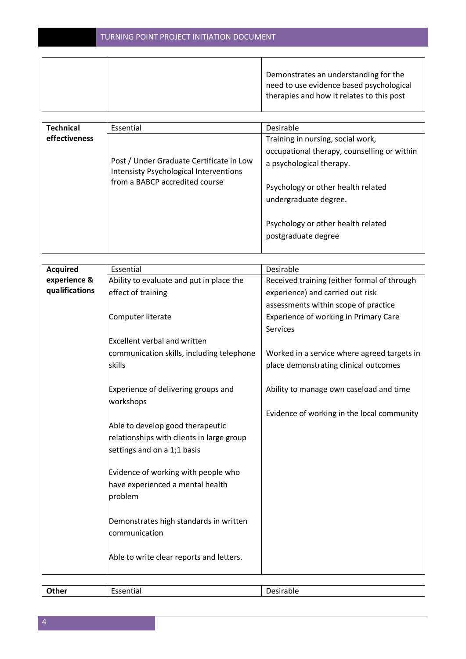|  | Demonstrates an understanding for the     |
|--|-------------------------------------------|
|  | need to use evidence based psychological  |
|  | therapies and how it relates to this post |
|  |                                           |

| <b>Technical</b> | Essential                                                                                                                   | Desirable                                                   |
|------------------|-----------------------------------------------------------------------------------------------------------------------------|-------------------------------------------------------------|
| effectiveness    |                                                                                                                             | Training in nursing, social work,                           |
|                  |                                                                                                                             | occupational therapy, counselling or within                 |
|                  | Post / Under Graduate Certificate in Low<br><b>Intensisty Psychological Interventions</b><br>from a BABCP accredited course | a psychological therapy.                                    |
|                  |                                                                                                                             | Psychology or other health related<br>undergraduate degree. |
|                  |                                                                                                                             | Psychology or other health related<br>postgraduate degree   |

| <b>Acquired</b> | Essential                                 | Desirable                                   |
|-----------------|-------------------------------------------|---------------------------------------------|
| experience &    | Ability to evaluate and put in place the  | Received training (either formal of through |
| qualifications  | effect of training                        | experience) and carried out risk            |
|                 |                                           | assessments within scope of practice        |
|                 | Computer literate                         | Experience of working in Primary Care       |
|                 |                                           | Services                                    |
|                 | <b>Excellent verbal and written</b>       |                                             |
|                 |                                           |                                             |
|                 | communication skills, including telephone | Worked in a service where agreed targets in |
|                 | skills                                    | place demonstrating clinical outcomes       |
|                 |                                           |                                             |
|                 | Experience of delivering groups and       | Ability to manage own caseload and time     |
|                 | workshops                                 |                                             |
|                 |                                           | Evidence of working in the local community  |
|                 | Able to develop good therapeutic          |                                             |
|                 | relationships with clients in large group |                                             |
|                 | settings and on a 1;1 basis               |                                             |
|                 |                                           |                                             |
|                 | Evidence of working with people who       |                                             |
|                 | have experienced a mental health          |                                             |
|                 | problem                                   |                                             |
|                 |                                           |                                             |
|                 | Demonstrates high standards in written    |                                             |
|                 | communication                             |                                             |
|                 |                                           |                                             |
|                 | Able to write clear reports and letters.  |                                             |
|                 |                                           |                                             |
|                 |                                           |                                             |

| -<br>___ | $\overline{\phantom{0}}$<br><br>ᇅ<br>--<br>. | .<br>"<br>. .<br>. |
|----------|----------------------------------------------|--------------------|
|          |                                              |                    |